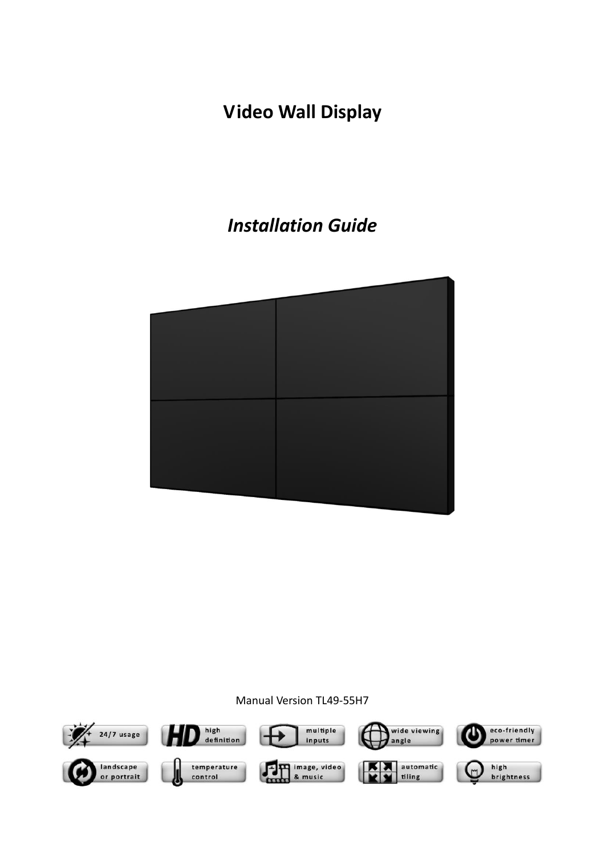## **Video Wall Display**

## *Installation Guide*



#### Manual Version TL49-55H7

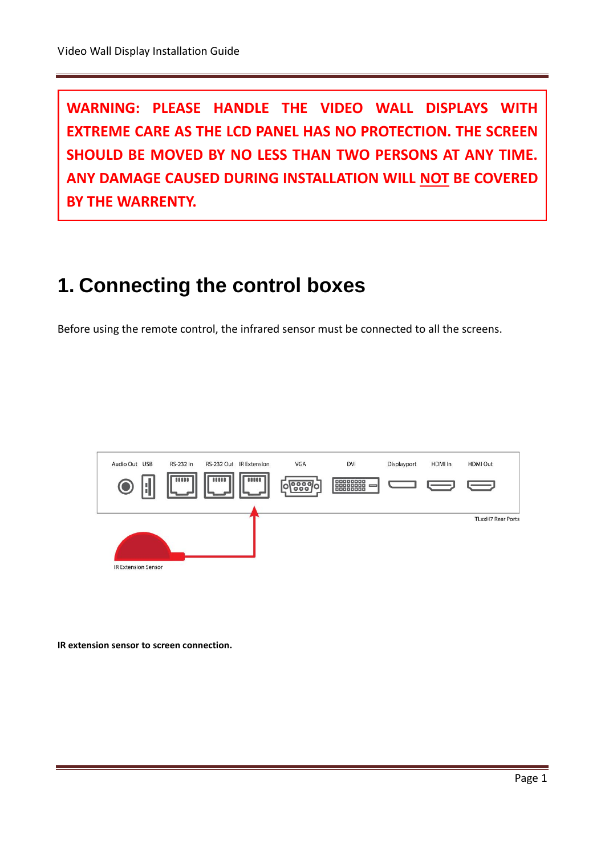**WARNING: PLEASE HANDLE THE VIDEO WALL DISPLAYS WITH EXTREME CARE AS THE LCD PANEL HAS NO PROTECTION. THE SCREEN SHOULD BE MOVED BY NO LESS THAN TWO PERSONS AT ANY TIME. ANY DAMAGE CAUSED DURING INSTALLATION WILL NOT BE COVERED BY THE WARRENTY.**

# **1. Connecting the control boxes**

Before using the remote control, the infrared sensor must be connected to all the screens.



**IR extension sensor to screen connection.**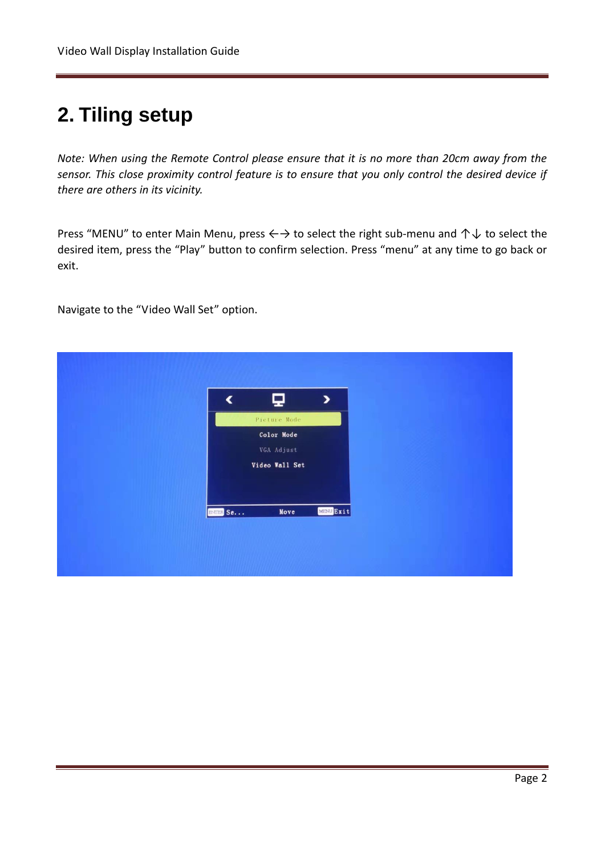## **2. Tiling setup**

*Note: When using the Remote Control please ensure that it is no more than 20cm away from the sensor. This close proximity control feature is to ensure that you only control the desired device if there are others in its vicinity.* 

Press "MENU" to enter Main Menu, press  $\leftrightarrow$  to select the right sub-menu and  $\uparrow \downarrow$  to select the desired item, press the "Play" button to confirm selection. Press "menu" at any time to go back or exit.

Navigate to the "Video Wall Set" option.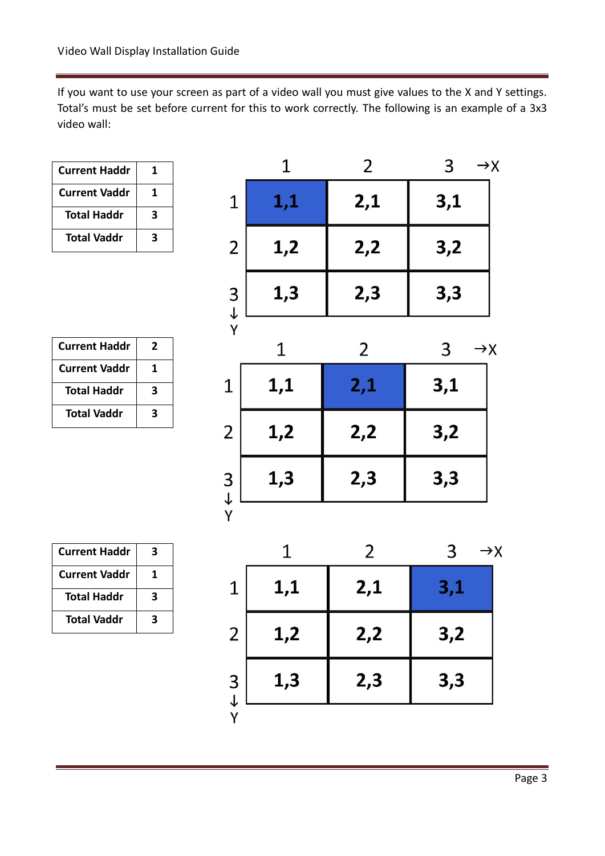If you want to use your screen as part of a video wall you must give values to the X and Y settings. Total's must be set before current for this to work correctly. The following is an example of a 3x3 video wall:

| <b>Current Haddr</b> | 1 |
|----------------------|---|
| <b>Current Vaddr</b> | 1 |
| <b>Total Haddr</b>   | 3 |
| Total Vaddr          | 3 |

| <b>Current Haddr</b> | 2 |
|----------------------|---|
| <b>Current Vaddr</b> | 1 |
| <b>Total Haddr</b>   | 3 |
| <b>Total Vaddr</b>   | 3 |

**Current Haddr 3**

**Current Vaddr 1**

**Total Haddr 3**

**Total Vaddr 3**

|                                              | 1            | 2   | 3<br>$\rightarrow$ X |
|----------------------------------------------|--------------|-----|----------------------|
| $\mathbf{1}$                                 | 1,1          | 2,1 | 3,1                  |
| $\overline{c}$                               | 1,2          | 2,2 | 3,2                  |
| $\begin{array}{c}\n3 \\ + \\ 6\n\end{array}$ | 1,3          | 2,3 | 3,3                  |
|                                              | $\mathbf{1}$ | 2   | 3<br>$\rightarrow$ X |
| $\overline{1}$                               | 1,1          | 2,1 | 3,1                  |
| $\overline{2}$                               | 1,2          | 2,2 | 3,2                  |
| 3<br>$\downarrow$                            | 1,3          | 2,3 | 3,3                  |
| Υ                                            |              |     |                      |
|                                              | 1            | 2   | 3<br>$\rightarrow$   |
| $\mathbf{1}$                                 | 1,1          | 2,1 | 3,1                  |
| $\overline{2}$                               | 1,2          | 2,2 | 3,2                  |
| $\frac{3}{4}$                                | 1,3          | 2,3 | 3,3                  |
|                                              |              |     |                      |

 $\mathsf{Y}$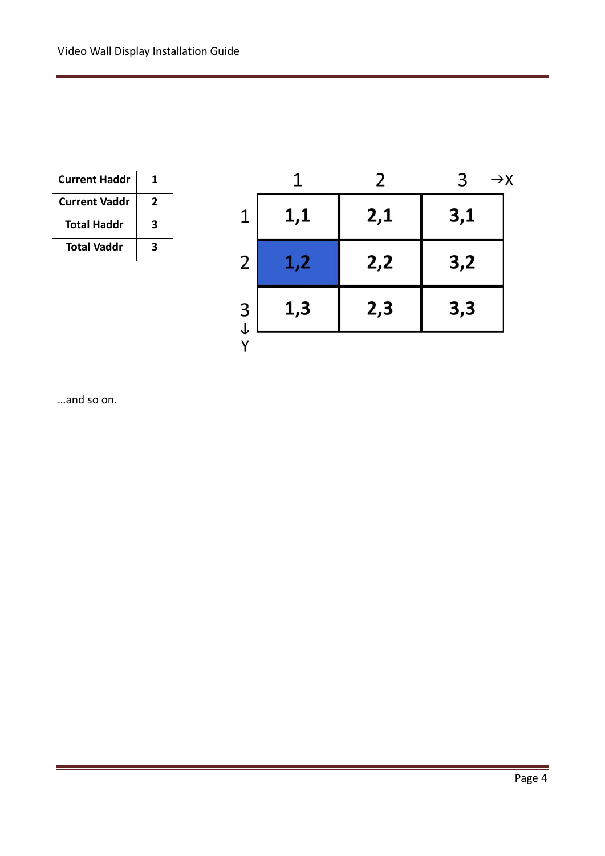| <b>Current Haddr</b> | 1 |
|----------------------|---|
| <b>Current Vaddr</b> | 2 |
| <b>Total Haddr</b>   | 3 |
| <b>Total Vaddr</b>   | 3 |

|               |     | 2   | 3<br>$\rightarrow$ X |
|---------------|-----|-----|----------------------|
| 1             | 1,1 | 2,1 | 3,1                  |
| 2             | 1,2 | 2,2 | 3,2                  |
| $\frac{3}{1}$ | 1,3 | 2,3 | 3,3                  |
|               |     |     |                      |

…and so on.